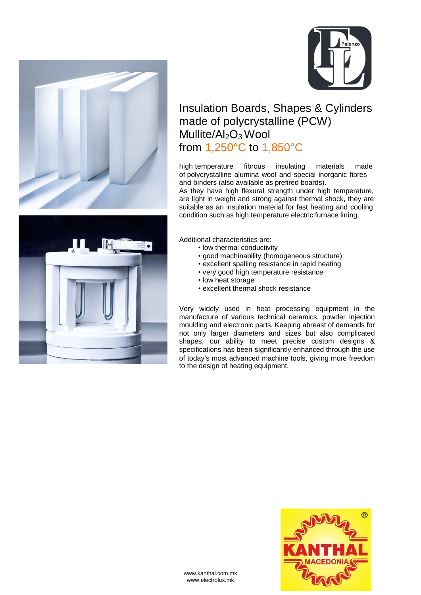



## Insulation Boards, Shapes & Cylinders made of polycrystalline (PCW) Mullite/ $Al_2O_3$  Wool from 1,250°C to 1,850°C

high temperature fibrous insulating materials made of polycrystalline alumina wool and special inorganic fibres and binders (also available as prefired boards).

As they have high flexural strength under high temperature, are light in weight and strong against thermal shock, they are suitable as an insulation material for fast heating and cooling condition such as high temperature electric furnace lining.



Additional characteristics are:

- low thermal conductivity
- good machinability (homogeneous structure)
- excellent spalling resistance in rapid heating
- very good high temperature resistance
- low heat storage
- excellent thermal shock resistance

Very widely used in heat processing equipment in the manufacture of various technical ceramics, powder injection moulding and electronic parts. Keeping abreast of demands for not only larger diameters and sizes but also complicated shapes, our ability to meet precise custom designs & specifications has been significantly enhanced through the use of today's most advanced machine tools, giving more freedom to the design of heating equipment.



www.kanthal.com.mk www.electrolux.mk